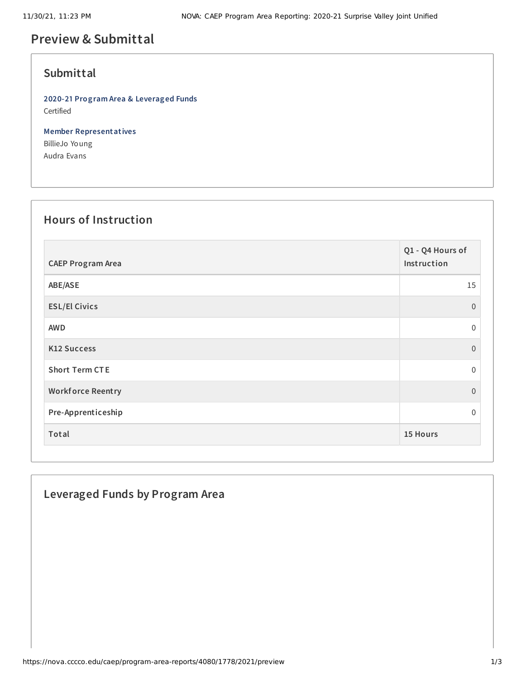# **Preview & Submittal**

### **Submittal**

**2020-21 Program Area & Leveraged Funds** Certified

**Member Representatives** BillieJo Young Audra Evans

#### **Hours of Instruction**

| <b>CAEP Program Area</b> | Q1 - Q4 Hours of<br>Instruction |
|--------------------------|---------------------------------|
| ABE/ASE                  | 15                              |
| <b>ESL/El Civics</b>     | $\overline{0}$                  |
| <b>AWD</b>               | $\mathbf 0$                     |
| <b>K12 Success</b>       | $\Omega$                        |
| <b>Short Term CTE</b>    | $\Omega$                        |
| <b>Workforce Reentry</b> | $\boldsymbol{0}$                |
| Pre-Apprenticeship       | $\Omega$                        |
| Total                    | 15 Hours                        |

### **Leveraged Funds by Program Area**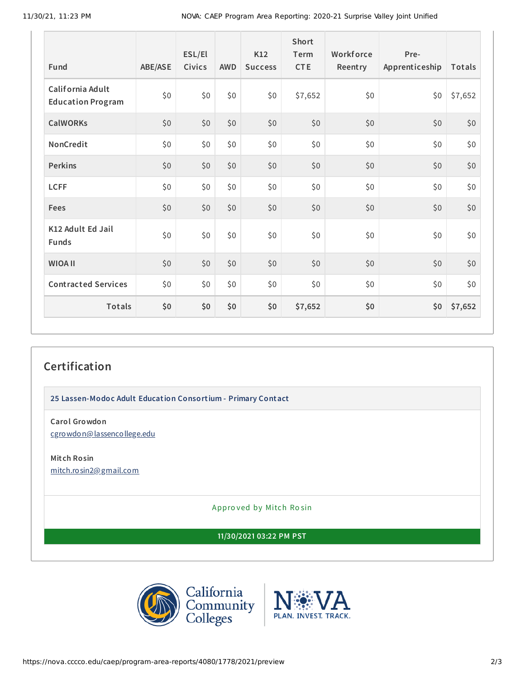11/30/21, 11:23 PM NOVA: CAEP Program Area Reporting: 2020-21 Surprise Valley Joint Unified

| Fund                                         | ABE/ASE | ESL/El<br><b>Civics</b> | <b>AWD</b> | K12<br><b>Success</b> | Short<br>Term<br><b>CTE</b> | Workforce<br>Reentry | Pre-<br>Apprenticeship | Totals  |
|----------------------------------------------|---------|-------------------------|------------|-----------------------|-----------------------------|----------------------|------------------------|---------|
| California Adult<br><b>Education Program</b> | \$0     | \$0                     | \$0        | \$0                   | \$7,652                     | \$0                  | \$0                    | \$7,652 |
| <b>CalWORKs</b>                              | \$0     | \$0                     | \$0        | \$0                   | \$0                         | \$0                  | \$0                    | \$0     |
| NonCredit                                    | \$0\$   | \$0                     | \$0        | \$0\$                 | \$0                         | \$0                  | \$0                    | \$0     |
| <b>Perkins</b>                               | \$0     | \$0                     | \$0        | \$0                   | \$0                         | \$0                  | \$0                    | \$0     |
| <b>LCFF</b>                                  | \$0     | \$0                     | \$0        | \$0                   | \$0                         | \$0                  | \$0                    | \$0     |
| Fees                                         | \$0\$   | \$0                     | \$0        | \$0                   | \$0                         | \$0                  | \$0                    | \$0     |
| K12 Adult Ed Jail<br><b>Funds</b>            | \$0     | \$0                     | \$0        | \$0                   | \$0\$                       | \$0                  | \$0                    | \$0     |
| <b>WIOA II</b>                               | \$0     | \$0                     | \$0        | \$0                   | \$0                         | \$0                  | \$0                    | \$0     |
| <b>Contracted Services</b>                   | \$0     | \$0                     | \$0        | \$0                   | \$0                         | \$0                  | \$0                    | \$0     |
| Totals                                       | \$0     | \$0                     | \$0        | \$0                   | \$7,652                     | \$0                  | \$0                    | \$7,652 |

## **Certification**

**25 Lassen-Modoc Adult Education Consortium - Primary Contact**

**Carol Growdon** [cgrowdon@lassencollege.edu](mailto:cgrowdon@lassencollege.edu)

**Mitch Rosin** [mitch.rosin2@gmail.com](mailto:mitch.rosin2@gmail.com)

Appro ved by Mitch Ro sin

**11/30/2021 03:22 PM PST**